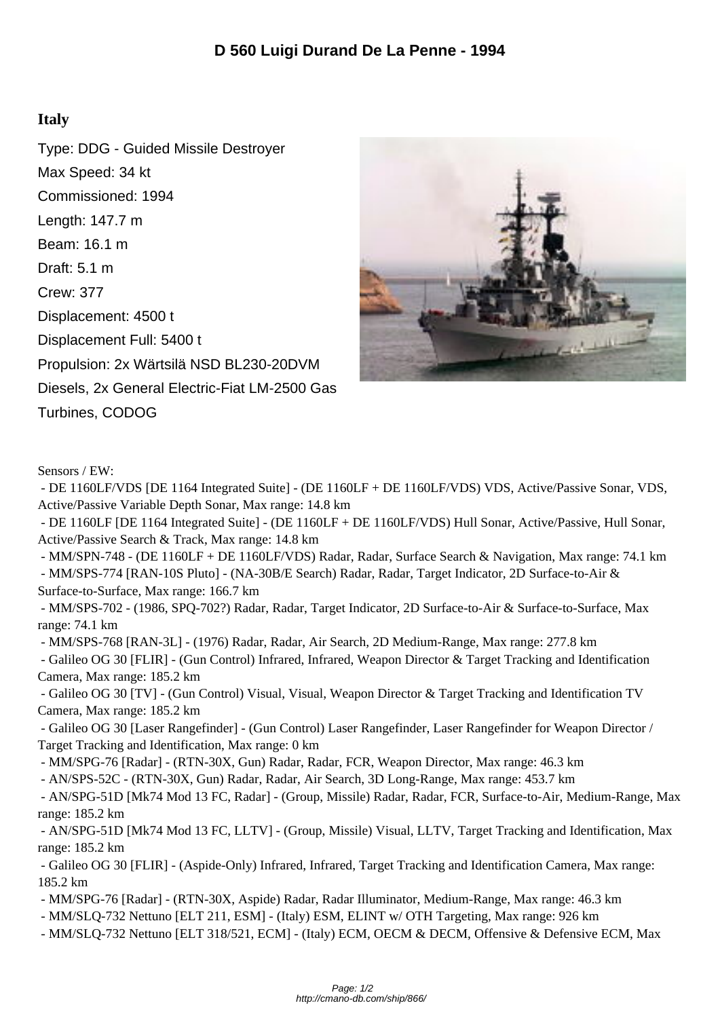## **Italy**

Type: DDG - Guided Missile Destroyer Max Speed: 34 kt Commissioned: 1994 Length: 147.7 m Beam: 16.1 m Draft: 5.1 m Crew: 377 Displacement: 4500 t Displacement Full: 5400 t Propulsion: 2x Wärtsilä NSD BL230-20DVM Diesels, 2x General Electric-Fiat LM-2500 Gas Turbines, CODOG



Sensors / EW:

 - DE 1160LF/VDS [DE 1164 Integrated Suite] - (DE 1160LF + DE 1160LF/VDS) VDS, Active/Passive Sonar, VDS, Active/Passive Variable Depth Sonar, Max range: 14.8 km

 - DE 1160LF [DE 1164 Integrated Suite] - (DE 1160LF + DE 1160LF/VDS) Hull Sonar, Active/Passive, Hull Sonar, Active/Passive Search & Track, Max range: 14.8 km

 - MM/SPN-748 - (DE 1160LF + DE 1160LF/VDS) Radar, Radar, Surface Search & Navigation, Max range: 74.1 km - MM/SPS-774 [RAN-10S Pluto] - (NA-30B/E Search) Radar, Radar, Target Indicator, 2D Surface-to-Air &

Surface-to-Surface, Max range: 166.7 km

 - MM/SPS-702 - (1986, SPQ-702?) Radar, Radar, Target Indicator, 2D Surface-to-Air & Surface-to-Surface, Max range: 74.1 km

- MM/SPS-768 [RAN-3L] - (1976) Radar, Radar, Air Search, 2D Medium-Range, Max range: 277.8 km

 - Galileo OG 30 [FLIR] - (Gun Control) Infrared, Infrared, Weapon Director & Target Tracking and Identification Camera, Max range: 185.2 km

 - Galileo OG 30 [TV] - (Gun Control) Visual, Visual, Weapon Director & Target Tracking and Identification TV Camera, Max range: 185.2 km

 - Galileo OG 30 [Laser Rangefinder] - (Gun Control) Laser Rangefinder, Laser Rangefinder for Weapon Director / Target Tracking and Identification, Max range: 0 km

- MM/SPG-76 [Radar] - (RTN-30X, Gun) Radar, Radar, FCR, Weapon Director, Max range: 46.3 km

- AN/SPS-52C - (RTN-30X, Gun) Radar, Radar, Air Search, 3D Long-Range, Max range: 453.7 km

 - AN/SPG-51D [Mk74 Mod 13 FC, Radar] - (Group, Missile) Radar, Radar, FCR, Surface-to-Air, Medium-Range, Max range: 185.2 km

 - AN/SPG-51D [Mk74 Mod 13 FC, LLTV] - (Group, Missile) Visual, LLTV, Target Tracking and Identification, Max range: 185.2 km

 - Galileo OG 30 [FLIR] - (Aspide-Only) Infrared, Infrared, Target Tracking and Identification Camera, Max range: 185.2 km

- MM/SPG-76 [Radar] - (RTN-30X, Aspide) Radar, Radar Illuminator, Medium-Range, Max range: 46.3 km

- MM/SLQ-732 Nettuno [ELT 211, ESM] - (Italy) ESM, ELINT w/ OTH Targeting, Max range: 926 km

- MM/SLQ-732 Nettuno [ELT 318/521, ECM] - (Italy) ECM, OECM & DECM, Offensive & Defensive ECM, Max